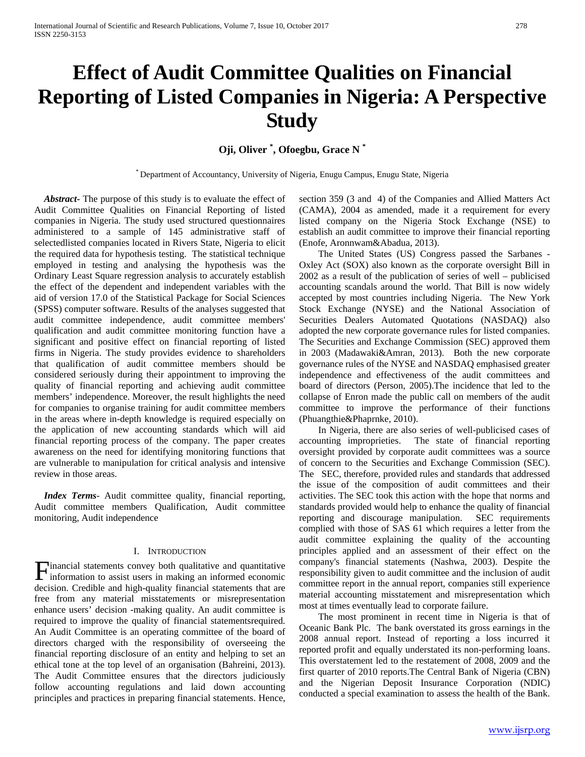# **Effect of Audit Committee Qualities on Financial Reporting of Listed Companies in Nigeria: A Perspective Study**

# **Oji, Oliver \* , Ofoegbu, Grace N \***

\* Department of Accountancy, University of Nigeria, Enugu Campus, Enugu State, Nigeria

 *Abstract***-** The purpose of this study is to evaluate the effect of Audit Committee Qualities on Financial Reporting of listed companies in Nigeria. The study used structured questionnaires administered to a sample of 145 administrative staff of selectedlisted companies located in Rivers State, Nigeria to elicit the required data for hypothesis testing. The statistical technique employed in testing and analysing the hypothesis was the Ordinary Least Square regression analysis to accurately establish the effect of the dependent and independent variables with the aid of version 17.0 of the Statistical Package for Social Sciences (SPSS) computer software. Results of the analyses suggested that audit committee independence, audit committee members' qualification and audit committee monitoring function have a significant and positive effect on financial reporting of listed firms in Nigeria. The study provides evidence to shareholders that qualification of audit committee members should be considered seriously during their appointment to improving the quality of financial reporting and achieving audit committee members' independence. Moreover, the result highlights the need for companies to organise training for audit committee members in the areas where in-depth knowledge is required especially on the application of new accounting standards which will aid financial reporting process of the company. The paper creates awareness on the need for identifying monitoring functions that are vulnerable to manipulation for critical analysis and intensive review in those areas.

*Index Terms*- Audit committee quality, financial reporting, Audit committee members Qualification, Audit committee monitoring, Audit independence

# I. INTRODUCTION

inancial statements convey both qualitative and quantitative **Financial statements convey both qualitative and quantitative** information to assist users in making an informed economic decision. Credible and high-quality financial statements that are free from any material misstatements or misrepresentation enhance users' decision -making quality. An audit committee is required to improve the quality of financial statementsrequired. An Audit Committee is an operating committee of the board of directors charged with the responsibility of overseeing the financial reporting disclosure of an entity and helping to set an ethical tone at the top level of an organisation (Bahreini, 2013). The Audit Committee ensures that the directors judiciously follow accounting regulations and laid down accounting principles and practices in preparing financial statements. Hence,

section 359 (3 and 4) of the Companies and Allied Matters Act (CAMA), 2004 as amended, made it a requirement for every listed company on the Nigeria Stock Exchange (NSE) to establish an audit committee to improve their financial reporting (Enofe, Aronnwam&Abadua, 2013).

 The United States (US) Congress passed the Sarbanes - Oxley Act (SOX) also known as the corporate oversight Bill in 2002 as a result of the publication of series of well – publicised accounting scandals around the world. That Bill is now widely accepted by most countries including Nigeria. The New York Stock Exchange (NYSE) and the National Association of Securities Dealers Automated Quotations (NASDAQ) also adopted the new corporate governance rules for listed companies. The Securities and Exchange Commission (SEC) approved them in 2003 (Madawaki&Amran, 2013). Both the new corporate governance rules of the NYSE and NASDAQ emphasised greater independence and effectiveness of the audit committees and board of directors (Person, 2005).The incidence that led to the collapse of Enron made the public call on members of the audit committee to improve the performance of their functions (Phuangthie&Phaprnke, 2010).

 In Nigeria, there are also series of well-publicised cases of accounting improprieties. The state of financial reporting oversight provided by corporate audit committees was a source of concern to the Securities and Exchange Commission (SEC). The SEC, therefore, provided rules and standards that addressed the issue of the composition of audit committees and their activities. The SEC took this action with the hope that norms and standards provided would help to enhance the quality of financial reporting and discourage manipulation. SEC requirements complied with those of SAS 61 which requires a letter from the audit committee explaining the quality of the accounting principles applied and an assessment of their effect on the company's financial statements (Nashwa, 2003). Despite the responsibility given to audit committee and the inclusion of audit committee report in the annual report, companies still experience material accounting misstatement and misrepresentation which most at times eventually lead to corporate failure.

 The most prominent in recent time in Nigeria is that of Oceanic Bank Plc. The bank overstated its gross earnings in the 2008 annual report. Instead of reporting a loss incurred it reported profit and equally understated its non-performing loans. This overstatement led to the restatement of 2008, 2009 and the first quarter of 2010 reports.The Central Bank of Nigeria (CBN) and the Nigerian Deposit Insurance Corporation (NDIC) conducted a special examination to assess the health of the Bank.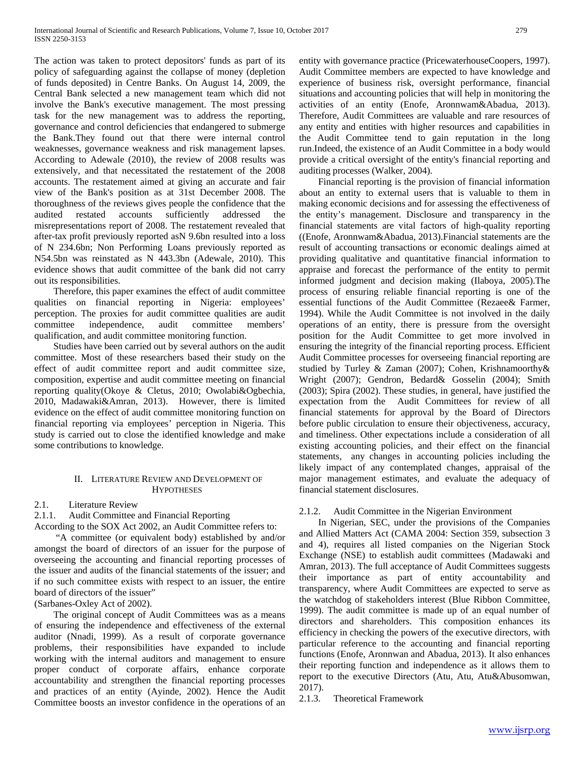The action was taken to protect depositors' funds as part of its policy of safeguarding against the collapse of money (depletion of funds deposited) in Centre Banks. On August 14, 2009, the Central Bank selected a new management team which did not involve the Bank's executive management. The most pressing task for the new management was to address the reporting, governance and control deficiencies that endangered to submerge the Bank.They found out that there were internal control weaknesses, governance weakness and risk management lapses. According to Adewale (2010), the review of 2008 results was extensively, and that necessitated the restatement of the 2008 accounts. The restatement aimed at giving an accurate and fair view of the Bank's position as at 31st December 2008. The thoroughness of the reviews gives people the confidence that the audited restated accounts sufficiently addressed the misrepresentations report of 2008. The restatement revealed that after-tax profit previously reported asN 9.6bn resulted into a loss of N 234.6bn; Non Performing Loans previously reported as N54.5bn was reinstated as N 443.3bn (Adewale, 2010). This evidence shows that audit committee of the bank did not carry out its responsibilities.

 Therefore, this paper examines the effect of audit committee qualities on financial reporting in Nigeria: employees' perception. The proxies for audit committee qualities are audit committee independence, audit committee members' qualification, and audit committee monitoring function.

 Studies have been carried out by several authors on the audit committee. Most of these researchers based their study on the effect of audit committee report and audit committee size, composition, expertise and audit committee meeting on financial reporting quality(Okoye & Cletus, 2010; Owolabi&Ogbechia, 2010, Madawaki&Amran, 2013). However, there is limited evidence on the effect of audit committee monitoring function on financial reporting via employees' perception in Nigeria. This study is carried out to close the identified knowledge and make some contributions to knowledge.

# II. LITERATURE REVIEW AND DEVELOPMENT OF **HYPOTHESES**

# 2.1. Literature Review

2.1.1. Audit Committee and Financial Reporting

According to the SOX Act 2002, an Audit Committee refers to:

 "A committee (or equivalent body) established by and/or amongst the board of directors of an issuer for the purpose of overseeing the accounting and financial reporting processes of the issuer and audits of the financial statements of the issuer; and if no such committee exists with respect to an issuer, the entire board of directors of the issuer"

(Sarbanes-Oxley Act of 2002).

 The original concept of Audit Committees was as a means of ensuring the independence and effectiveness of the external auditor (Nnadi, 1999). As a result of corporate governance problems, their responsibilities have expanded to include working with the internal auditors and management to ensure proper conduct of corporate affairs, enhance corporate accountability and strengthen the financial reporting processes and practices of an entity (Ayinde, 2002). Hence the Audit Committee boosts an investor confidence in the operations of an entity with governance practice (PricewaterhouseCoopers, 1997). Audit Committee members are expected to have knowledge and experience of business risk, oversight performance, financial situations and accounting policies that will help in monitoring the activities of an entity (Enofe, Aronnwam&Abadua, 2013). Therefore, Audit Committees are valuable and rare resources of any entity and entities with higher resources and capabilities in the Audit Committee tend to gain reputation in the long run.Indeed, the existence of an Audit Committee in a body would provide a critical oversight of the entity's financial reporting and auditing processes (Walker, 2004).

 Financial reporting is the provision of financial information about an entity to external users that is valuable to them in making economic decisions and for assessing the effectiveness of the entity's management. Disclosure and transparency in the financial statements are vital factors of high-quality reporting ((Enofe, Aronnwam&Abadua, 2013).Financial statements are the result of accounting transactions or economic dealings aimed at providing qualitative and quantitative financial information to appraise and forecast the performance of the entity to permit informed judgment and decision making (Ilaboya, 2005).The process of ensuring reliable financial reporting is one of the essential functions of the Audit Committee (Rezaee& Farmer, 1994). While the Audit Committee is not involved in the daily operations of an entity, there is pressure from the oversight position for the Audit Committee to get more involved in ensuring the integrity of the financial reporting process. Efficient Audit Committee processes for overseeing financial reporting are studied by Turley & Zaman (2007); Cohen, Krishnamoorthy& Wright (2007); Gendron, Bedard& Gosselin (2004); Smith (2003); Spira (2002). These studies, in general, have justified the expectation from the Audit Committees for review of all financial statements for approval by the Board of Directors before public circulation to ensure their objectiveness, accuracy, and timeliness. Other expectations include a consideration of all existing accounting policies, and their effect on the financial statements, any changes in accounting policies including the likely impact of any contemplated changes, appraisal of the major management estimates, and evaluate the adequacy of financial statement disclosures.

# 2.1.2. Audit Committee in the Nigerian Environment

 In Nigerian, SEC, under the provisions of the Companies and Allied Matters Act (CAMA 2004: Section 359, subsection 3 and 4), requires all listed companies on the Nigerian Stock Exchange (NSE) to establish audit committees (Madawaki and Amran, 2013). The full acceptance of Audit Committees suggests their importance as part of entity accountability and transparency, where Audit Committees are expected to serve as the watchdog of stakeholders interest (Blue Ribbon Committee, 1999). The audit committee is made up of an equal number of directors and shareholders. This composition enhances its efficiency in checking the powers of the executive directors, with particular reference to the accounting and financial reporting functions (Enofe, Aronnwan and Abadua, 2013). It also enhances their reporting function and independence as it allows them to report to the executive Directors (Atu, Atu, Atu&Abusomwan, 2017).

2.1.3. Theoretical Framework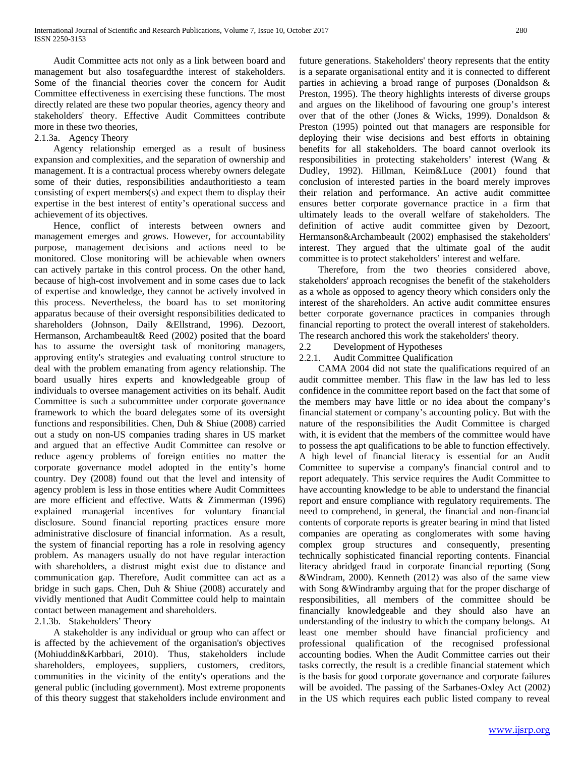Audit Committee acts not only as a link between board and management but also tosafeguardthe interest of stakeholders. Some of the financial theories cover the concern for Audit Committee effectiveness in exercising these functions. The most directly related are these two popular theories, agency theory and stakeholders' theory. Effective Audit Committees contribute more in these two theories,

# 2.1.3a. Agency Theory

 Agency relationship emerged as a result of business expansion and complexities, and the separation of ownership and management. It is a contractual process whereby owners delegate some of their duties, responsibilities andauthoritiesto a team consisting of expert members(s) and expect them to display their expertise in the best interest of entity's operational success and achievement of its objectives.

 Hence, conflict of interests between owners and management emerges and grows. However, for accountability purpose, management decisions and actions need to be monitored. Close monitoring will be achievable when owners can actively partake in this control process. On the other hand, because of high-cost involvement and in some cases due to lack of expertise and knowledge, they cannot be actively involved in this process. Nevertheless, the board has to set monitoring apparatus because of their oversight responsibilities dedicated to shareholders (Johnson, Daily &Ellstrand, 1996). Dezoort, Hermanson, Archambeault& Reed (2002) posited that the board has to assume the oversight task of monitoring managers, approving entity's strategies and evaluating control structure to deal with the problem emanating from agency relationship. The board usually hires experts and knowledgeable group of individuals to oversee management activities on its behalf. Audit Committee is such a subcommittee under corporate governance framework to which the board delegates some of its oversight functions and responsibilities. Chen, Duh & Shiue (2008) carried out a study on non-US companies trading shares in US market and argued that an effective Audit Committee can resolve or reduce agency problems of foreign entities no matter the corporate governance model adopted in the entity's home country. Dey (2008) found out that the level and intensity of agency problem is less in those entities where Audit Committees are more efficient and effective. Watts & Zimmerman (1996) explained managerial incentives for voluntary financial disclosure. Sound financial reporting practices ensure more administrative disclosure of financial information. As a result, the system of financial reporting has a role in resolving agency problem. As managers usually do not have regular interaction with shareholders, a distrust might exist due to distance and communication gap. Therefore, Audit committee can act as a bridge in such gaps. Chen, Duh & Shiue (2008) accurately and vividly mentioned that Audit Committee could help to maintain contact between management and shareholders.

# 2.1.3b. Stakeholders' Theory

 A stakeholder is any individual or group who can affect or is affected by the achievement of the organisation's objectives (Mohiuddin&Karbbari, 2010). Thus, stakeholders include shareholders, employees, suppliers, customers, creditors, communities in the vicinity of the entity's operations and the general public (including government). Most extreme proponents of this theory suggest that stakeholders include environment and future generations. Stakeholders' theory represents that the entity is a separate organisational entity and it is connected to different parties in achieving a broad range of purposes (Donaldson & Preston, 1995). The theory highlights interests of diverse groups and argues on the likelihood of favouring one group's interest over that of the other (Jones & Wicks, 1999). Donaldson & Preston (1995) pointed out that managers are responsible for deploying their wise decisions and best efforts in obtaining benefits for all stakeholders. The board cannot overlook its responsibilities in protecting stakeholders' interest (Wang & Dudley, 1992). Hillman, Keim&Luce (2001) found that conclusion of interested parties in the board merely improves their relation and performance. An active audit committee ensures better corporate governance practice in a firm that ultimately leads to the overall welfare of stakeholders. The definition of active audit committee given by Dezoort, Hermanson&Archambeault (2002) emphasised the stakeholders' interest. They argued that the ultimate goal of the audit committee is to protect stakeholders' interest and welfare.

 Therefore, from the two theories considered above, stakeholders' approach recognises the benefit of the stakeholders as a whole as opposed to agency theory which considers only the interest of the shareholders. An active audit committee ensures better corporate governance practices in companies through financial reporting to protect the overall interest of stakeholders. The research anchored this work the stakeholders' theory.

# 2.2 Development of Hypotheses<br>2.2.1. Audit Committee Qualification

# Audit Committee Qualification

 CAMA 2004 did not state the qualifications required of an audit committee member. This flaw in the law has led to less confidence in the committee report based on the fact that some of the members may have little or no idea about the company's financial statement or company's accounting policy. But with the nature of the responsibilities the Audit Committee is charged with, it is evident that the members of the committee would have to possess the apt qualifications to be able to function effectively. A high level of financial literacy is essential for an Audit Committee to supervise a company's financial control and to report adequately. This service requires the Audit Committee to have accounting knowledge to be able to understand the financial report and ensure compliance with regulatory requirements. The need to comprehend, in general, the financial and non-financial contents of corporate reports is greater bearing in mind that listed companies are operating as conglomerates with some having complex group structures and consequently, presenting technically sophisticated financial reporting contents. Financial literacy abridged fraud in corporate financial reporting (Song &Windram, 2000). Kenneth (2012) was also of the same view with Song &Windramby arguing that for the proper discharge of responsibilities, all members of the committee should be financially knowledgeable and they should also have an understanding of the industry to which the company belongs. At least one member should have financial proficiency and professional qualification of the recognised professional accounting bodies. When the Audit Committee carries out their tasks correctly, the result is a credible financial statement which is the basis for good corporate governance and corporate failures will be avoided. The passing of the Sarbanes-Oxley Act (2002) in the US which requires each public listed company to reveal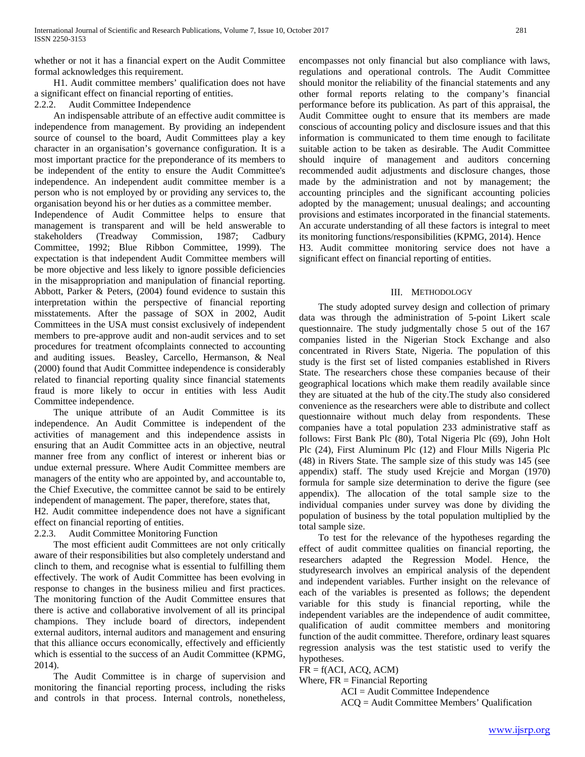whether or not it has a financial expert on the Audit Committee formal acknowledges this requirement.

 H1. Audit committee members' qualification does not have a significant effect on financial reporting of entities.<br>2.2.2. Audit Committee Independence

Audit Committee Independence

 An indispensable attribute of an effective audit committee is independence from management. By providing an independent source of counsel to the board, Audit Committees play a key character in an organisation's governance configuration. It is a most important practice for the preponderance of its members to be independent of the entity to ensure the Audit Committee's independence. An independent audit committee member is a person who is not employed by or providing any services to, the organisation beyond his or her duties as a committee member.

Independence of Audit Committee helps to ensure that management is transparent and will be held answerable to stakeholders (Treadway Commission, 1987; Cadbury Commission, 1987; Cadbury Committee, 1992; Blue Ribbon Committee, 1999). The expectation is that independent Audit Committee members will be more objective and less likely to ignore possible deficiencies in the misappropriation and manipulation of financial reporting. Abbott, Parker & Peters, (2004) found evidence to sustain this interpretation within the perspective of financial reporting misstatements. After the passage of SOX in 2002, Audit Committees in the USA must consist exclusively of independent members to pre-approve audit and non-audit services and to set procedures for treatment ofcomplaints connected to accounting and auditing issues. Beasley, Carcello, Hermanson, & Neal (2000) found that Audit Committee independence is considerably related to financial reporting quality since financial statements fraud is more likely to occur in entities with less Audit Committee independence.

The unique attribute of an Audit Committee is its independence. An Audit Committee is independent of the activities of management and this independence assists in ensuring that an Audit Committee acts in an objective, neutral manner free from any conflict of interest or inherent bias or undue external pressure. Where Audit Committee members are managers of the entity who are appointed by, and accountable to, the Chief Executive, the committee cannot be said to be entirely independent of management. The paper, therefore, states that,

H2. Audit committee independence does not have a significant effect on financial reporting of entities.

2.2.3. Audit Committee Monitoring Function

 The most efficient audit Committees are not only critically aware of their responsibilities but also completely understand and clinch to them, and recognise what is essential to fulfilling them effectively. The work of Audit Committee has been evolving in response to changes in the business milieu and first practices. The monitoring function of the Audit Committee ensures that there is active and collaborative involvement of all its principal champions. They include board of directors, independent external auditors, internal auditors and management and ensuring that this alliance occurs economically, effectively and efficiently which is essential to the success of an Audit Committee (KPMG, 2014).

 The Audit Committee is in charge of supervision and monitoring the financial reporting process, including the risks and controls in that process. Internal controls, nonetheless, encompasses not only financial but also compliance with laws, regulations and operational controls. The Audit Committee should monitor the reliability of the financial statements and any other formal reports relating to the company's financial performance before its publication. As part of this appraisal, the Audit Committee ought to ensure that its members are made conscious of accounting policy and disclosure issues and that this information is communicated to them time enough to facilitate suitable action to be taken as desirable. The Audit Committee should inquire of management and auditors concerning recommended audit adjustments and disclosure changes, those made by the administration and not by management; the accounting principles and the significant accounting policies adopted by the management; unusual dealings; and accounting provisions and estimates incorporated in the financial statements. An accurate understanding of all these factors is integral to meet its monitoring functions/responsibilities (KPMG, 2014). Hence H3. Audit committee monitoring service does not have a significant effect on financial reporting of entities.

# III. METHODOLOGY

 The study adopted survey design and collection of primary data was through the administration of 5-point Likert scale questionnaire. The study judgmentally chose 5 out of the 167 companies listed in the Nigerian Stock Exchange and also concentrated in Rivers State, Nigeria. The population of this study is the first set of listed companies established in Rivers State. The researchers chose these companies because of their geographical locations which make them readily available since they are situated at the hub of the city.The study also considered convenience as the researchers were able to distribute and collect questionnaire without much delay from respondents. These companies have a total population 233 administrative staff as follows: First Bank Plc (80), Total Nigeria Plc (69), John Holt Plc (24), First Aluminum Plc (12) and Flour Mills Nigeria Plc (48) in Rivers State. The sample size of this study was 145 (see appendix) staff. The study used Krejcie and Morgan (1970) formula for sample size determination to derive the figure (see appendix). The allocation of the total sample size to the individual companies under survey was done by dividing the population of business by the total population multiplied by the total sample size.

 To test for the relevance of the hypotheses regarding the effect of audit committee qualities on financial reporting, the researchers adapted the Regression Model. Hence, the studyresearch involves an empirical analysis of the dependent and independent variables. Further insight on the relevance of each of the variables is presented as follows; the dependent variable for this study is financial reporting, while the independent variables are the independence of audit committee, qualification of audit committee members and monitoring function of the audit committee. Therefore, ordinary least squares regression analysis was the test statistic used to verify the hypotheses.

 $FR = f(ACI, ACQ, ACM)$ 

Where,  $FR = Financial Reporting$ 

 ACI = Audit Committee Independence ACQ = Audit Committee Members' Qualification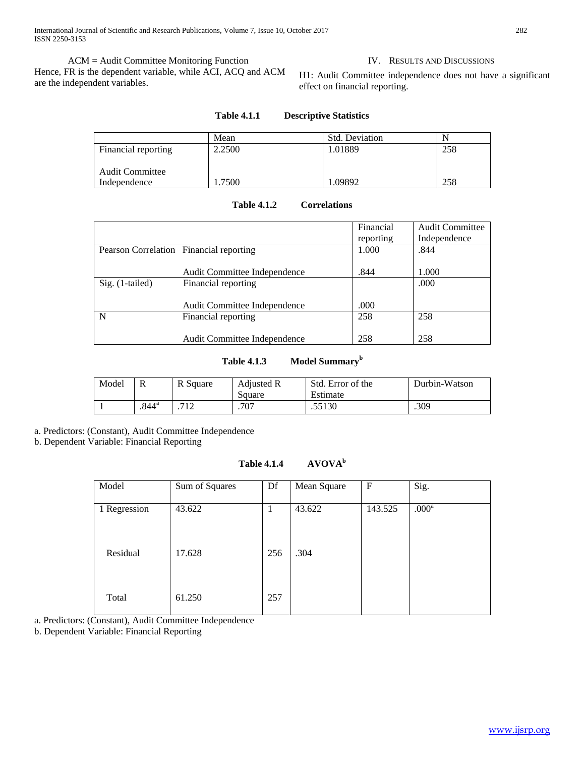International Journal of Scientific and Research Publications, Volume 7, Issue 10, October 2017 282 ISSN 2250-3153

 ACM = Audit Committee Monitoring Function Hence, FR is the dependent variable, while ACI, ACQ and ACM are the independent variables.

IV. RESULTS AND DISCUSSIONS

H1: Audit Committee independence does not have a significant effect on financial reporting.

|                        | Mean   | <b>Std. Deviation</b> | N   |
|------------------------|--------|-----------------------|-----|
| Financial reporting    | 2.2500 | 1.01889               | 258 |
|                        |        |                       |     |
| <b>Audit Committee</b> |        |                       |     |
| Independence           | 7500   | 1.09892               | 258 |

#### **Table 4.1.1 Descriptive Statistics**

| <b>Table 4.1.2</b> | <b>Correlations</b> |
|--------------------|---------------------|
|--------------------|---------------------|

|                                         |                              | Financial | <b>Audit Committee</b> |
|-----------------------------------------|------------------------------|-----------|------------------------|
|                                         |                              | reporting | Independence           |
| Pearson Correlation Financial reporting |                              | 1.000     | .844                   |
|                                         | Audit Committee Independence | .844      | 1.000                  |
| $Sig. (1-tailed)$                       | Financial reporting          |           | .000                   |
|                                         | Audit Committee Independence | .000      |                        |
| N                                       | Financial reporting          | 258       | 258                    |
|                                         | Audit Committee Independence | 258       | 258                    |

# **Table 4.1.3 Model Summary<sup>b</sup>**

| Model | R                   | R Square | <b>Adjusted R</b><br>Square | Std. Error of the<br>Estimate | Durbin-Watson |
|-------|---------------------|----------|-----------------------------|-------------------------------|---------------|
|       | $.844$ <sup>a</sup> | 710<br>∸ | .707                        | .55130                        | .309          |

a. Predictors: (Constant), Audit Committee Independence

b. Dependent Variable: Financial Reporting

**Table 4.1.4 AVOVA<sup>b</sup>**

| Model        | Sum of Squares | Df  | Mean Square | $\mathbf F$ | Sig.              |
|--------------|----------------|-----|-------------|-------------|-------------------|
| 1 Regression | 43.622         | T   | 43.622      | 143.525     | .000 <sup>a</sup> |
| Residual     | 17.628         | 256 | .304        |             |                   |
| Total        | 61.250         | 257 |             |             |                   |

a. Predictors: (Constant), Audit Committee Independence

b. Dependent Variable: Financial Reporting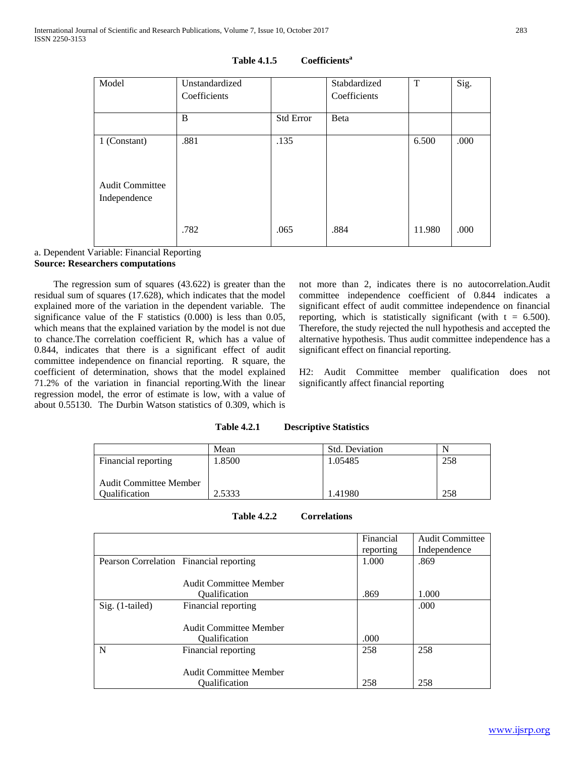| Model                  | Unstandardized<br>Coefficients |                  | Stabdardized<br>Coefficients | T      | Sig. |
|------------------------|--------------------------------|------------------|------------------------------|--------|------|
|                        | B                              | <b>Std Error</b> | Beta                         |        |      |
|                        |                                |                  |                              |        |      |
| 1 (Constant)           | .881                           | .135             |                              | 6.500  | .000 |
|                        |                                |                  |                              |        |      |
| <b>Audit Committee</b> |                                |                  |                              |        |      |
| Independence           |                                |                  |                              |        |      |
|                        |                                |                  |                              |        |      |
|                        | .782                           | .065             | .884                         | 11.980 | .000 |

# **Table 4.1.5 Coefficients<sup>a</sup>**

# a. Dependent Variable: Financial Reporting **Source: Researchers computations**

 The regression sum of squares (43.622) is greater than the residual sum of squares (17.628), which indicates that the model explained more of the variation in the dependent variable. The significance value of the F statistics (0.000) is less than 0.05, which means that the explained variation by the model is not due to chance.The correlation coefficient R, which has a value of 0.844, indicates that there is a significant effect of audit committee independence on financial reporting. R square, the coefficient of determination, shows that the model explained 71.2% of the variation in financial reporting.With the linear regression model, the error of estimate is low, with a value of about 0.55130. The Durbin Watson statistics of 0.309, which is not more than 2, indicates there is no autocorrelation.Audit committee independence coefficient of 0.844 indicates a significant effect of audit committee independence on financial reporting, which is statistically significant (with  $t = 6.500$ ). Therefore, the study rejected the null hypothesis and accepted the alternative hypothesis. Thus audit committee independence has a significant effect on financial reporting.

H2: Audit Committee member qualification does not significantly affect financial reporting

| <b>Table 4.2.1</b> | <b>Descriptive Statistics</b> |  |
|--------------------|-------------------------------|--|
|                    |                               |  |

|                               | Mean   | <b>Std. Deviation</b> | N   |
|-------------------------------|--------|-----------------------|-----|
| Financial reporting           | 1.8500 | 1.05485               | 258 |
|                               |        |                       |     |
| <b>Audit Committee Member</b> |        |                       |     |
| <i><b>Oualification</b></i>   | 2.5333 | 1.41980               | 258 |

|                                         |                               | Financial | <b>Audit Committee</b> |
|-----------------------------------------|-------------------------------|-----------|------------------------|
|                                         |                               | reporting | Independence           |
| Pearson Correlation Financial reporting |                               | 1.000     | .869                   |
|                                         |                               |           |                        |
|                                         | <b>Audit Committee Member</b> |           |                        |
|                                         | <i><b>Oualification</b></i>   | .869      | 1.000                  |
| $Sig. (1-tailed)$                       | Financial reporting           |           | .000                   |
|                                         |                               |           |                        |
|                                         | <b>Audit Committee Member</b> |           |                        |
|                                         | <i><b>Oualification</b></i>   | .000      |                        |
| N                                       | Financial reporting           | 258       | 258                    |
|                                         |                               |           |                        |
|                                         | <b>Audit Committee Member</b> |           |                        |
|                                         | <b>Oualification</b>          | 258       | 258                    |

**Table 4.2.2 Correlations**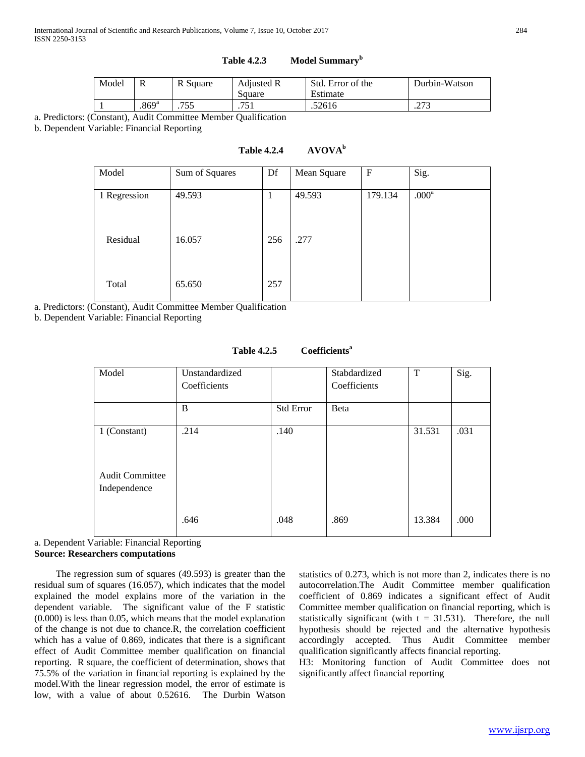# **Table 4.2.3 Model Summary<sup>b</sup>**

| Model | ĸ                   | R Square | <b>Adjusted R</b><br>Square | Std. Error of the<br>Estimate | Durbin-Watson |
|-------|---------------------|----------|-----------------------------|-------------------------------|---------------|
|       | $.869$ <sup>a</sup> | 755<br>. | ワミ<br>. 1                   | .52616                        | 272<br>ل ایک  |

a. Predictors: (Constant), Audit Committee Member Qualification

b. Dependent Variable: Financial Reporting

# **Table 4.2.4 AVOVA<sup>b</sup>**

| Model        | Sum of Squares | Df  | Mean Square | $\mathbf F$ | Sig.              |
|--------------|----------------|-----|-------------|-------------|-------------------|
| 1 Regression | 49.593         | 1   | 49.593      | 179.134     | .000 <sup>a</sup> |
| Residual     | 16.057         | 256 | .277        |             |                   |
| Total        | 65.650         | 257 |             |             |                   |

a. Predictors: (Constant), Audit Committee Member Qualification

b. Dependent Variable: Financial Reporting

| Model                                                  | Unstandardized<br>Coefficients |           | Stabdardized<br>Coefficients | T      | Sig. |
|--------------------------------------------------------|--------------------------------|-----------|------------------------------|--------|------|
|                                                        | B                              | Std Error | Beta                         |        |      |
| 1 (Constant)<br><b>Audit Committee</b><br>Independence | .214                           | .140      |                              | 31.531 | .031 |
|                                                        | .646                           | .048      | .869                         | 13.384 | .000 |

#### **Table 4.2.5 Coefficients<sup>a</sup>**

a. Dependent Variable: Financial Reporting **Source: Researchers computations**

 The regression sum of squares (49.593) is greater than the residual sum of squares (16.057), which indicates that the model explained the model explains more of the variation in the dependent variable. The significant value of the F statistic (0.000) is less than 0.05, which means that the model explanation of the change is not due to chance.R, the correlation coefficient which has a value of 0.869, indicates that there is a significant effect of Audit Committee member qualification on financial reporting. R square, the coefficient of determination, shows that 75.5% of the variation in financial reporting is explained by the model.With the linear regression model, the error of estimate is low, with a value of about 0.52616. The Durbin Watson statistics of 0.273, which is not more than 2, indicates there is no autocorrelation.The Audit Committee member qualification coefficient of 0.869 indicates a significant effect of Audit Committee member qualification on financial reporting, which is statistically significant (with  $t = 31.531$ ). Therefore, the null hypothesis should be rejected and the alternative hypothesis accordingly accepted. Thus Audit Committee member qualification significantly affects financial reporting.

H3: Monitoring function of Audit Committee does not significantly affect financial reporting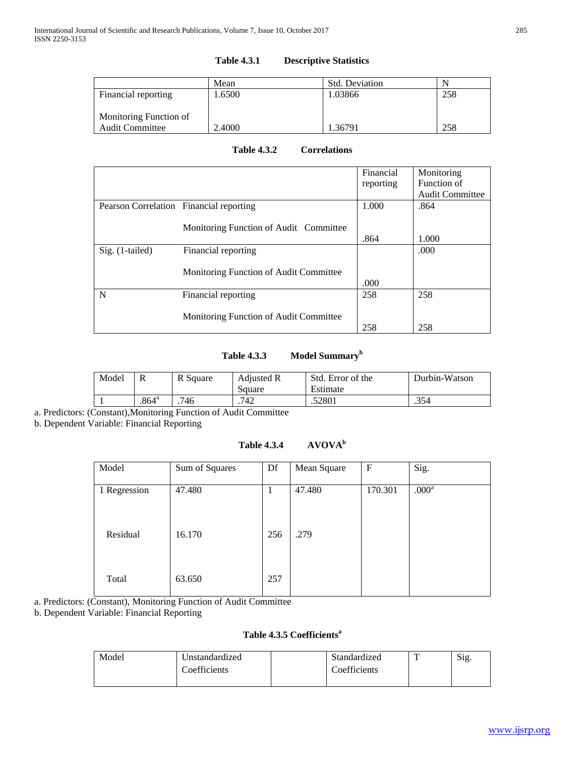|                        | Mean   | <b>Std. Deviation</b> |     |
|------------------------|--------|-----------------------|-----|
| Financial reporting    | 1.6500 | 1.03866               | 258 |
|                        |        |                       |     |
| Monitoring Function of |        |                       |     |
| <b>Audit Committee</b> | 2.4000 | 1.36791               | 258 |

# **Table 4.3.1 Descriptive Statistics**

**Table 4.3.2 Correlations**

|                                         |                                        | Financial | Monitoring             |
|-----------------------------------------|----------------------------------------|-----------|------------------------|
|                                         |                                        | reporting | Function of            |
|                                         |                                        |           | <b>Audit Committee</b> |
| Pearson Correlation Financial reporting |                                        | 1.000     | .864                   |
|                                         |                                        |           |                        |
|                                         | Monitoring Function of Audit Committee |           |                        |
|                                         |                                        | .864      | 1.000                  |
| Sig. (1-tailed)                         | Financial reporting                    |           | .000                   |
|                                         |                                        |           |                        |
|                                         | Monitoring Function of Audit Committee |           |                        |
|                                         |                                        | .000      |                        |
| N                                       | Financial reporting                    | 258       | 258                    |
|                                         |                                        |           |                        |
|                                         | Monitoring Function of Audit Committee |           |                        |
|                                         |                                        | 258       | 258                    |

# **Table 4.3.3 Model Summary<sup>b</sup>**

| Model |                     | R Square | <b>Adjusted R</b> | Std. Error of the | Durbin-Watson |
|-------|---------------------|----------|-------------------|-------------------|---------------|
|       |                     |          | Square            | Estimate          |               |
|       | $.864$ <sup>a</sup> | 746      | .742              | .52801            | .354          |

a. Predictors: (Constant),Monitoring Function of Audit Committee

b. Dependent Variable: Financial Reporting

# **Table 4.3.4 AVOVA<sup>b</sup>**

| Model        | Sum of Squares | Df  | Mean Square | $\mathbf{F}$ | Sig.              |
|--------------|----------------|-----|-------------|--------------|-------------------|
|              | 47.480         |     | 47.480      | 170.301      | .000 <sup>a</sup> |
| 1 Regression |                | 1   |             |              |                   |
|              |                |     |             |              |                   |
| Residual     | 16.170         | 256 | .279        |              |                   |
|              |                |     |             |              |                   |
|              |                |     |             |              |                   |
| Total        | 63.650         | 257 |             |              |                   |
|              |                |     |             |              |                   |

a. Predictors: (Constant), Monitoring Function of Audit Committee

b. Dependent Variable: Financial Reporting

# **Table 4.3.5 Coefficients<sup>a</sup>**

| Model | 'Jnstandardized | Standardized | <u>тт</u> | Sig. |
|-------|-----------------|--------------|-----------|------|
|       | Coefficients    | Coefficients |           |      |
|       |                 |              |           |      |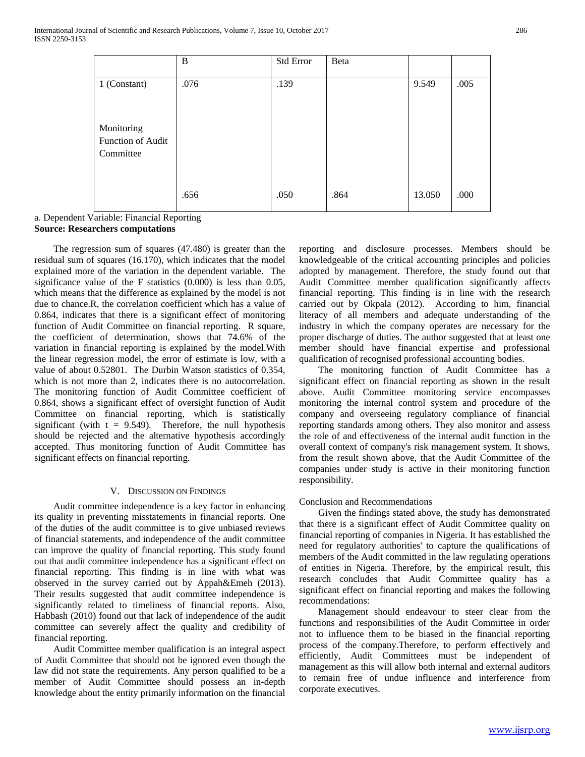|                                              | B    | Std Error | Beta |        |      |
|----------------------------------------------|------|-----------|------|--------|------|
| 1 (Constant)                                 | .076 | .139      |      | 9.549  | .005 |
| Monitoring<br>Function of Audit<br>Committee |      |           |      |        |      |
|                                              | .656 | .050      | .864 | 13.050 | .000 |

a. Dependent Variable: Financial Reporting **Source: Researchers computations**

 The regression sum of squares (47.480) is greater than the residual sum of squares (16.170), which indicates that the model explained more of the variation in the dependent variable. The significance value of the F statistics (0.000) is less than 0.05, which means that the difference as explained by the model is not due to chance.R, the correlation coefficient which has a value of 0.864, indicates that there is a significant effect of monitoring function of Audit Committee on financial reporting. R square, the coefficient of determination, shows that 74.6% of the variation in financial reporting is explained by the model.With the linear regression model, the error of estimate is low, with a value of about 0.52801. The Durbin Watson statistics of 0.354, which is not more than 2, indicates there is no autocorrelation. The monitoring function of Audit Committee coefficient of 0.864, shows a significant effect of oversight function of Audit Committee on financial reporting, which is statistically significant (with  $t = 9.549$ ). Therefore, the null hypothesis should be rejected and the alternative hypothesis accordingly accepted. Thus monitoring function of Audit Committee has significant effects on financial reporting.

# V. DISCUSSION ON FINDINGS

 Audit committee independence is a key factor in enhancing its quality in preventing misstatements in financial reports. One of the duties of the audit committee is to give unbiased reviews of financial statements, and independence of the audit committee can improve the quality of financial reporting. This study found out that audit committee independence has a significant effect on financial reporting. This finding is in line with what was observed in the survey carried out by Appah&Emeh (2013). Their results suggested that audit committee independence is significantly related to timeliness of financial reports. Also, Habbash (2010) found out that lack of independence of the audit committee can severely affect the quality and credibility of financial reporting.

 Audit Committee member qualification is an integral aspect of Audit Committee that should not be ignored even though the law did not state the requirements. Any person qualified to be a member of Audit Committee should possess an in-depth knowledge about the entity primarily information on the financial reporting and disclosure processes. Members should be knowledgeable of the critical accounting principles and policies adopted by management. Therefore, the study found out that Audit Committee member qualification significantly affects financial reporting. This finding is in line with the research carried out by Okpala (2012). According to him, financial literacy of all members and adequate understanding of the industry in which the company operates are necessary for the proper discharge of duties. The author suggested that at least one member should have financial expertise and professional qualification of recognised professional accounting bodies.

 The monitoring function of Audit Committee has a significant effect on financial reporting as shown in the result above. Audit Committee monitoring service encompasses monitoring the internal control system and procedure of the company and overseeing regulatory compliance of financial reporting standards among others. They also monitor and assess the role of and effectiveness of the internal audit function in the overall context of company's risk management system. It shows, from the result shown above, that the Audit Committee of the companies under study is active in their monitoring function responsibility.

# Conclusion and Recommendations

 Given the findings stated above, the study has demonstrated that there is a significant effect of Audit Committee quality on financial reporting of companies in Nigeria. It has established the need for regulatory authorities' to capture the qualifications of members of the Audit committed in the law regulating operations of entities in Nigeria. Therefore, by the empirical result, this research concludes that Audit Committee quality has a significant effect on financial reporting and makes the following recommendations:

 Management should endeavour to steer clear from the functions and responsibilities of the Audit Committee in order not to influence them to be biased in the financial reporting process of the company.Therefore, to perform effectively and efficiently, Audit Committees must be independent of management as this will allow both internal and external auditors to remain free of undue influence and interference from corporate executives.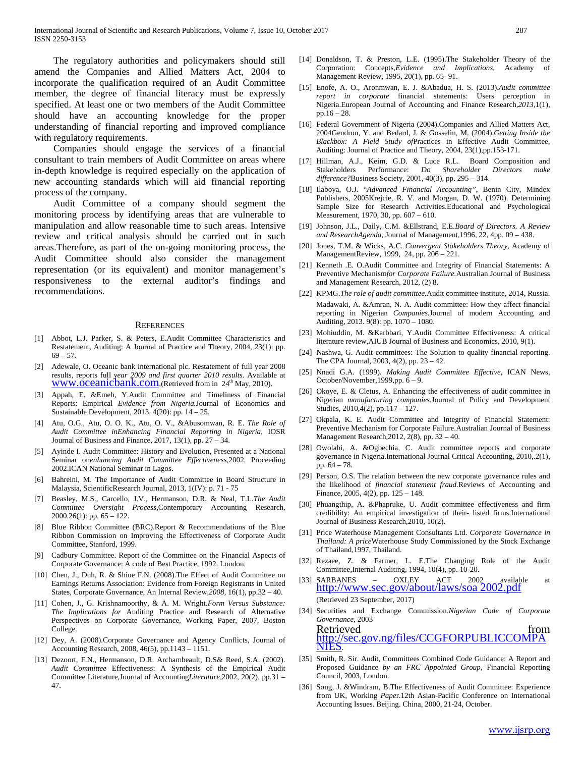The regulatory authorities and policymakers should still amend the Companies and Allied Matters Act, 2004 to incorporate the qualification required of an Audit Committee member, the degree of financial literacy must be expressly specified. At least one or two members of the Audit Committee should have an accounting knowledge for the proper understanding of financial reporting and improved compliance with regulatory requirements.

 Companies should engage the services of a financial consultant to train members of Audit Committee on areas where in-depth knowledge is required especially on the application of new accounting standards which will aid financial reporting process of the company.

 Audit Committee of a company should segment the monitoring process by identifying areas that are vulnerable to manipulation and allow reasonable time to such areas. Intensive review and critical analysis should be carried out in such areas.Therefore, as part of the on-going monitoring process, the Audit Committee should also consider the management representation (or its equivalent) and monitor management's responsiveness to the external auditor's findings and recommendations.

#### **REFERENCES**

- [1] Abbot, L.J. Parker, S. & Peters, E.Audit Committee Characteristics and Restatement, Auditing: A Journal of Practice and Theory, 2004, 23(1): pp.  $69 - 57.$
- [2] Adewale, O. Oceanic bank international plc. Restatement of full year 2008 results, reports full *year 2009 and first quarter 2010 results.* Available at www.oceanicbank.com, (Retrieved from in 24<sup>th</sup> May, 2010).
- [3] Appah, E. &Emeh, Y.Audit Committee and Timeliness of Financial Reports: Empirical *Evidence from Nigeria.*Journal of Economics and Sustainable Development, 2013. 4(20): pp. 14 – 25.
- [4] Atu, O.G., Atu, O. O. K., Atu, O. V., &Abusomwan, R. E. *The Role of Audit Committee inEnhancing Financial Reporting in Nigeria*, IOSR Journal of Business and Finance, 2017, 13(1), pp. 27 – 34.
- Ayinde I. Audit Committee: History and Evolution, Presented at a National Seminar on*enhancing Audit Committee Effectiveness,*2002. Proceeding 2002.ICAN National Seminar in Lagos.
- [6] Bahreini, M. The Importance of Audit Committee in Board Structure in Malaysia, ScientificResearch Journal, 2013, 1(IV): p. 71 - 75
- [7] Beasley, M.S., Carcello, J.V., Hermanson, D.R. & Neal, T.L.*The Audit Committee Oversight Process,*Contemporary Accounting Research, 2000.26(1): pp. 65 – 122.
- [8] Blue Ribbon Committee (BRC).Report & Recommendations of the Blue Ribbon Commission on Improving the Effectiveness of Corporate Audit Committee, Stanford, 1999.
- [9] Cadbury Committee. Report of the Committee on the Financial Aspects of Corporate Governance: A code of Best Practice, 1992. London.
- [10] Chen, J., Duh, R. & Shiue F.N. (2008).The Effect of Audit Committee on Earnings Returns Association: Evidence from Foreign Registrants in United States, Corporate Governance, An Internal Review,*2008,* 16(1), pp.32 – 40.
- [11] Cohen, J., G. Krishnamoorthy, & A. M. Wright.*Form Versus Substance: The Implications for* Auditing Practice and Research of Alternative Perspectives on Corporate Governance, Working Paper, 2007, Boston College.
- [12] Dey, A. (2008).Corporate Governance and Agency Conflicts, Journal of Accounting Research, 2008, 46(5), pp.1143 – 1151.
- [13] Dezoort, F.N., Hermanson, D.R. Archambeault, D.S& Reed, S.A. (2002). *Audit Committee* Effectiveness: A Synthesis of the Empirical Audit Committee Literature,Journal of Accounting*Literature,*2002, 20(2), pp.31 – 47.
- [14] Donaldson, T. & Preston, L.E. (1995).The Stakeholder Theory of the Corporation: Concepts,*Evidence and Implications*, Academy of Management Review, 1995, 20(1), pp. 65- 91.
- [15] Enofe, A. O., Aronmwan, E. J. &Abadua, H. S. (2013).*Audit committee report in corporate* financial statements: Users perception in Nigeria.European Journal of Accounting and Finance Research*,2013,*1(1), pp.16 – 28.
- [16] Federal Government of Nigeria (2004).Companies and Allied Matters Act, 2004Gendron, Y. and Bedard, J. & Gosselin, M. (2004).*Getting Inside the Blackbox: A Field Study of*Practices in Effective Audit Committee, Auditing: Journal of Practice and Theory, 2004, 23(1),pp.153-171.
- [17] Hillman, A.J., Keim, G.D. & Luce R.L. Board Composition and Stakeholders Performance: *Do Shareholder Directors make difference?*Business Society, 2001, 40(3), pp. 295 – 314.
- [18] Ilaboya, O.J. "*Advanced Financial Accounting"*, Benin City, Mindex Publishers, 2005Krejcie, R. V. and Morgan, D. W. (1970). Determining Sample Size for Research Activities.Educational and Psychological Measurement, 1970, 30, pp. 607 – 610.
- [19] Johnson, J.L., Daily, C.M. &Ellstrand, E.E.*Board of Directors. A Review and ResearchAgenda,* Journal of Management,1996, 22, 4pp. 09 – 438.
- [20] Jones, T.M. & Wicks, A.C. *Convergent Stakeholders Theory,* Academy of ManagementReview, 1999, 24, pp. 206 – 221.
- [21] Kenneth .E. O.Audit Committee and Integrity of Financial Statements: A Preventive Mechanism*for Corporate Failure.*Australian Journal of Business and Management Research, 2012, (2) 8.
- [22] KPMG.*The role of audit committee.*Audit committee institute, 2014, Russia. Madawaki, A. &Amran, N. A. Audit committee: How they affect financial reporting in Nigerian *Companies.*Journal of modern Accounting and Auditing, 2013. 9(8): pp. 1070 – 1080.
- [23] Mohiuddin, M. &Karbbari, Y.Audit Committee Effectiveness: A critical literature review,AIUB Journal of Business and Economics, 2010*,* 9(1).
- [24] Nashwa, G. Audit committees: The Solution to quality financial reporting. The CPA Journal, 2003, 4(2), pp. 23 – 42.
- [25] Nnadi G.A. (1999). *Making Audit Committee Effective*, ICAN News, October/November,1999,pp. 6 – 9.
- [26] Okoye, E. & Cletus, A. Enhancing the effectiveness of audit committee in Nigerian *manufacturing companies.*Journal of Policy and Development Studies, 2010,4(2), pp.117 – 127.
- [27] Okpala, K. E. Audit Committee and Integrity of Financial Statement: Preventive Mechanism for Corporate Failure.Australian Journal of Business Management Research,2012, 2(8), pp. 32 – 40.
- [28] Owolabi, A. &Ogbechia, C. Audit committee reports and corporate governance in Nigeria.International Journal Critical Accounting, 2010,.2(1), pp. 64 – 78*.*
- [29] Person, O.S. The relation between the new corporate governance rules and the likelihood of *financial statement fraud.*Reviews of Accounting and Finance, 2005, 4(2), pp. 125 – 148.
- [30] Phuangthip, A. &Phapruke, U. Audit committee effectiveness and firm credibility: An empirical investigation of their- listed firms.International Journal of Business Research,2010, 10(2).
- [31] Price Waterhouse Management Consultants Ltd. *Corporate Governance in Thailand: A price*Waterhouse Study Commissioned by the Stock Exchange of Thailand,1997, Thailand.
- [32] Rezaee, Z. & Farmer, L. E.The Changing Role of the Audit Committee,Internal Auditing, 1994, 10(4), pp. 10-20.
- [33] SARBANES OXLEY ACT 2002 available at [http://www.sec.gov/about/laws/soa 2002.pdf](http://www.sec.gov/about/laws/soa%202002.pdf) (Retrieved 23 September, 2017)
- [34] Securities and Exchange Commission.*Nigerian Code of Corporate Governance*, 2003 Retrieved from  $\frac{1}{2}$  from  $\frac{1}{2}$ [http://sec.gov.ng/files/CCGFORPUBLICCOMPA](http://sec.gov.ng/files/CCGFORPUBLICCOMPANIES) [NIES.](http://sec.gov.ng/files/CCGFORPUBLICCOMPANIES)
- [35] Smith, R. Sir. Audit, Committees Combined Code Guidance: A Report and Proposed Guidance *by an FRC Appointed Group*, Financial Reporting Council, 2003, London.
- [36] Song, J. &Windram, B.The Effectiveness of Audit Committee: Experience from UK, Working *Pape*r.12th Asian-Pacific Conference on International Accounting Issues. Beijing. China, 2000, 21-24, October.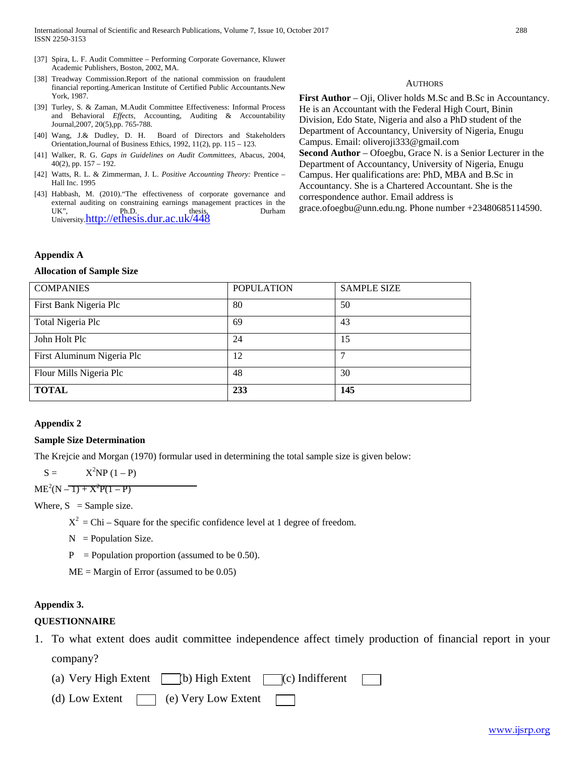- [37] Spira, L. F. Audit Committee Performing Corporate Governance, Kluwer Academic Publishers, Boston, 2002, MA.
- [38] Treadway Commission.Report of the national commission on fraudulent financial reporting.American Institute of Certified Public Accountants.New York, 1987.
- [39] Turley, S. & Zaman, M.Audit Committee Effectiveness: Informal Process and Behavioral *Effects,* Accounting, Auditing & Accountability Journal,2007, 20(5),pp. 765-788.
- [40] Wang, J.& Dudley, D. H. Board of Directors and Stakeholders Orientation,Journal of Business Ethics, 1992, 11(2), pp. 115 – 123.
- [41] Walker, R. G. *Gaps in Guidelines on Audit Committees,* Abacus, 2004, 40(2), pp. 157 – 192.
- [42] Watts, R. L. & Zimmerman, J. L. *Positive Accounting Theory:* Prentice Hall Inc. 1995
- [43] Habbash, M. (2010)."The effectiveness of corporate governance and external auditing on constraining earnings management practices in the UK", Ph.D. thesis, Durham University[.http://ethesis.dur.ac.uk/448](http://ethesis.dur.ac.uk/448)

# **First Author** – Oji, Oliver holds M.Sc and B.Sc in Accountancy. He is an Accountant with the Federal High Court, Binin Division, Edo State, Nigeria and also a PhD student of the Department of Accountancy, University of Nigeria, Enugu Campus. Email: oliveroji333@gmail.com **Second Author** – Ofoegbu, Grace N. is a Senior Lecturer in the Department of Accountancy, University of Nigeria, Enugu Campus. Her qualifications are: PhD, MBA and B.Sc in

**AUTHORS** 

Accountancy. She is a Chartered Accountant. She is the

correspondence author. Email address is

grace.ofoegbu@unn.edu.ng. Phone number +23480685114590.

#### **Appendix A**

# **Allocation of Sample Size**

| <b>COMPANIES</b>           | <b>POPULATION</b> | <b>SAMPLE SIZE</b> |
|----------------------------|-------------------|--------------------|
| First Bank Nigeria Plc     | 80                | 50                 |
| Total Nigeria Plc          | 69                | 43                 |
| John Holt Plc              | 24                | 15                 |
| First Aluminum Nigeria Plc | 12                |                    |
| Flour Mills Nigeria Plc    | 48                | 30                 |
| <b>TOTAL</b>               | 233               | 145                |

# **Appendix 2**

# **Sample Size Determination**

The Krejcie and Morgan (1970) formular used in determining the total sample size is given below:

 $S =$  $X^2NP(1-P)$ 

 $ME<sup>2</sup>(N-T) + X<sup>2</sup>P(1-P)$ 

Where,  $S =$  Sample size.

 $X^2 =$ Chi – Square for the specific confidence level at 1 degree of freedom.

- $N =$  Population Size.
- $P =$  Population proportion (assumed to be 0.50).

 $ME = Margin of Error (assumed to be 0.05)$ 

#### **Appendix 3.**

#### **QUESTIONNAIRE**

- 1. To what extent does audit committee independence affect timely production of financial report in your company?
	- (a) Very High Extent  $\Box$  (b) High Extent  $\Box$  (c) Indifferent

(d) Low Extent  $\Box$  (e) Very Low Extent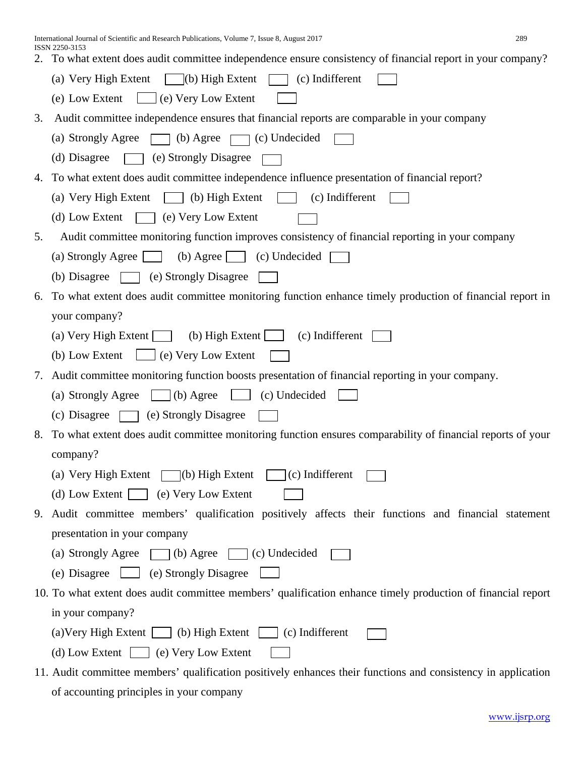International Journal of Scientific and Research Publications, Volume 7, Issue 8, August 2017 289 ISSN 2250-3153

|  |  | 2. To what extent does audit committee independence ensure consistency of financial report in your company? |  |  |  |
|--|--|-------------------------------------------------------------------------------------------------------------|--|--|--|
|--|--|-------------------------------------------------------------------------------------------------------------|--|--|--|

|    | $\vert$ (b) High Extent $\vert$<br>(a) Very High Extent<br>(c) Indifferent                                    |
|----|---------------------------------------------------------------------------------------------------------------|
|    | $\Box$ (e) Very Low Extent<br>(e) Low Extent                                                                  |
| 3. | Audit committee independence ensures that financial reports are comparable in your company                    |
|    | $\Box$ (b) Agree [<br>$\Box$ (c) Undecided<br>(a) Strongly Agree                                              |
|    | (e) Strongly Disagree<br>(d) Disagree                                                                         |
| 4. | To what extent does audit committee independence influence presentation of financial report?                  |
|    | (a) Very High Extent<br>$\Box$ (b) High Extent<br>(c) Indifferent                                             |
|    | (d) Low Extent<br>(e) Very Low Extent                                                                         |
| 5. | Audit committee monitoring function improves consistency of financial reporting in your company               |
|    | (a) Strongly Agree<br>(b) Agree<br>(c) Undecided                                                              |
|    | (e) Strongly Disagree<br>(b) Disagree                                                                         |
| 6. | To what extent does audit committee monitoring function enhance timely production of financial report in      |
|    | your company?                                                                                                 |
|    | (a) Very High Extent $\Box$<br>(b) High Extent $\Box$<br>(c) Indifferent                                      |
|    | $\boxed{\phantom{0}}$ (e) Very Low Extent<br>(b) Low Extent                                                   |
| 7. | Audit committee monitoring function boosts presentation of financial reporting in your company.               |
|    | (a) Strongly Agree<br>$\Box$ (b) Agree<br>$\Box$ (c) Undecided                                                |
|    | (e) Strongly Disagree<br>(c) Disagree<br><b>The Common</b>                                                    |
| 8. | To what extent does audit committee monitoring function ensures comparability of financial reports of your    |
|    | company?                                                                                                      |
|    | (a) Very High Extent $\Box$ (b) High Extent<br>$\Box$ (c) Indifferent                                         |
|    | (d) Low Extent $\Box$ (e) Very Low Extent                                                                     |
|    | 9. Audit committee members' qualification positively affects their functions and financial statement          |
|    | presentation in your company                                                                                  |
|    | (a) Strongly Agree $\Box$ (b) Agree $\Box$ (c) Undecided                                                      |
|    | (e) Disagree (e) Strongly Disagree                                                                            |
|    | 10. To what extent does audit committee members' qualification enhance timely production of financial report  |
|    | in your company?                                                                                              |
|    | (a) Very High Extent $\Box$ (b) High Extent $\Box$ (c) Indifferent                                            |
|    | (d) Low Extent $\Box$ (e) Very Low Extent                                                                     |
|    | 11. Audit committee members' qualification positively enhances their functions and consistency in application |